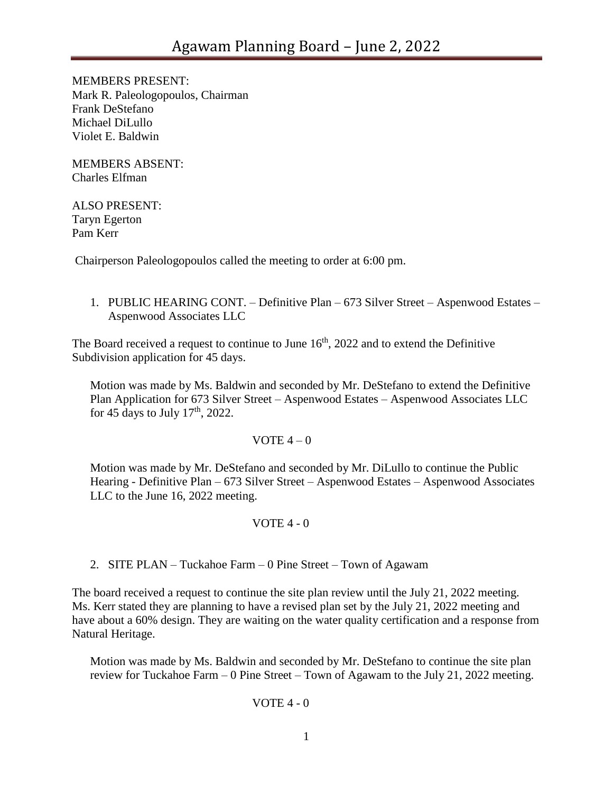MEMBERS PRESENT: Mark R. Paleologopoulos, Chairman Frank DeStefano Michael DiLullo Violet E. Baldwin

MEMBERS ABSENT: Charles Elfman

### ALSO PRESENT: Taryn Egerton Pam Kerr

Chairperson Paleologopoulos called the meeting to order at 6:00 pm.

1. PUBLIC HEARING CONT. – Definitive Plan – 673 Silver Street – Aspenwood Estates – Aspenwood Associates LLC

The Board received a request to continue to June  $16<sup>th</sup>$ , 2022 and to extend the Definitive Subdivision application for 45 days.

Motion was made by Ms. Baldwin and seconded by Mr. DeStefano to extend the Definitive Plan Application for 673 Silver Street – Aspenwood Estates – Aspenwood Associates LLC for 45 days to July  $17<sup>th</sup>$ , 2022.

# VOTE  $4-0$

Motion was made by Mr. DeStefano and seconded by Mr. DiLullo to continue the Public Hearing - Definitive Plan – 673 Silver Street – Aspenwood Estates – Aspenwood Associates LLC to the June 16, 2022 meeting.

# VOTE 4 - 0

2. SITE PLAN – Tuckahoe Farm – 0 Pine Street – Town of Agawam

The board received a request to continue the site plan review until the July 21, 2022 meeting. Ms. Kerr stated they are planning to have a revised plan set by the July 21, 2022 meeting and have about a 60% design. They are waiting on the water quality certification and a response from Natural Heritage.

Motion was made by Ms. Baldwin and seconded by Mr. DeStefano to continue the site plan review for Tuckahoe Farm – 0 Pine Street – Town of Agawam to the July 21, 2022 meeting.

### VOTE  $4 - 0$